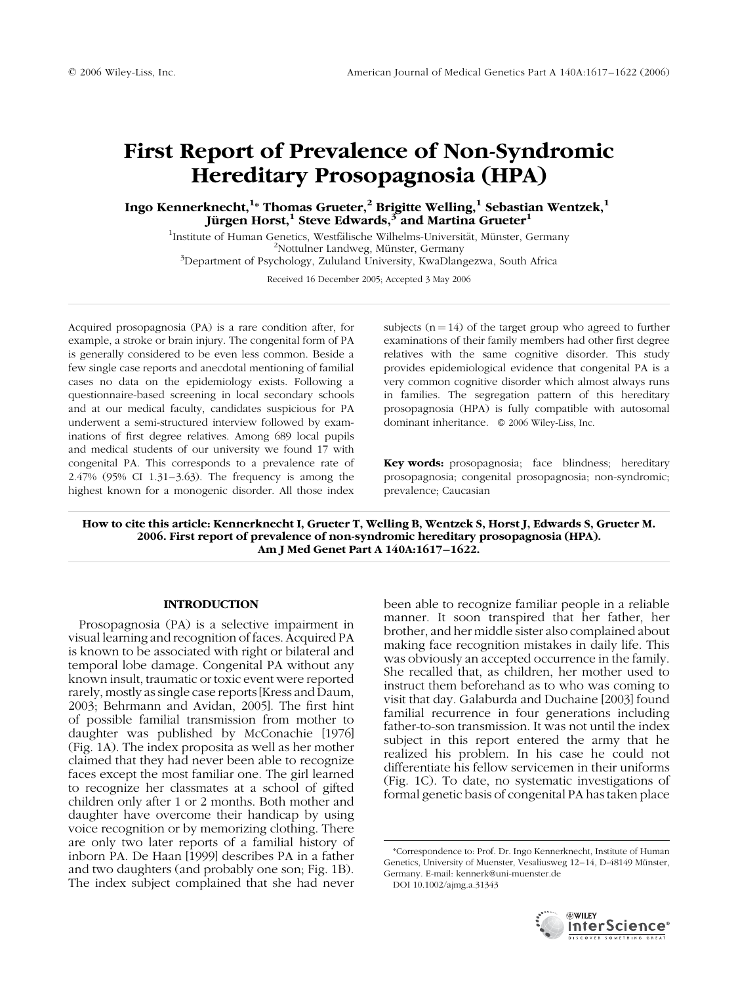# First Report of Prevalence of Non-Syndromic Hereditary Prosopagnosia (HPA)

## Ingo Kennerknecht, $^{\rm 1\ast}$  Thomas Grueter, $^{\rm 2}$  Brigitte Welling, $^{\rm 1}$  Sebastian Wentzek, $^{\rm 1}$ Jürgen Horst,<sup>1</sup> Steve Edwards,<sup>3</sup> and Martina Grueter<sup>1</sup>

<sup>1</sup>Institute of Human Genetics, Westfälische Wilhelms-Universität, Münster, Germany  $^2$ Nottulner Landweg, Münster, Germany  $^3$ Department of Psychology, Zululand University, KwaDlangezwa, South Africa

Received 16 December 2005; Accepted 3 May 2006

Acquired prosopagnosia (PA) is a rare condition after, for example, a stroke or brain injury. The congenital form of PA is generally considered to be even less common. Beside a few single case reports and anecdotal mentioning of familial cases no data on the epidemiology exists. Following a questionnaire-based screening in local secondary schools and at our medical faculty, candidates suspicious for PA underwent a semi-structured interview followed by examinations of first degree relatives. Among 689 local pupils and medical students of our university we found 17 with congenital PA. This corresponds to a prevalence rate of 2.47% (95% CI 1.31–3.63). The frequency is among the highest known for a monogenic disorder. All those index

subjects  $(n = 14)$  of the target group who agreed to further examinations of their family members had other first degree relatives with the same cognitive disorder. This study provides epidemiological evidence that congenital PA is a very common cognitive disorder which almost always runs in families. The segregation pattern of this hereditary prosopagnosia (HPA) is fully compatible with autosomal dominant inheritance.  $\circ$  2006 Wiley-Liss, Inc.

Key words: prosopagnosia; face blindness; hereditary prosopagnosia; congenital prosopagnosia; non-syndromic; prevalence; Caucasian

How to cite this article: Kennerknecht I, Grueter T, Welling B, Wentzek S, Horst J, Edwards S, Grueter M. 2006. First report of prevalence of non-syndromic hereditary prosopagnosia (HPA). Am J Med Genet Part A 140A:1617–1622.

#### INTRODUCTION

Prosopagnosia (PA) is a selective impairment in visual learning and recognition of faces. Acquired PA is known to be associated with right or bilateral and temporal lobe damage. Congenital PA without any known insult, traumatic or toxic event were reported rarely, mostly as single case reports [Kress and Daum, 2003; Behrmann and Avidan, 2005]. The first hint of possible familial transmission from mother to daughter was published by McConachie [1976] (Fig. 1A). The index proposita as well as her mother claimed that they had never been able to recognize faces except the most familiar one. The girl learned to recognize her classmates at a school of gifted children only after 1 or 2 months. Both mother and daughter have overcome their handicap by using voice recognition or by memorizing clothing. There are only two later reports of a familial history of inborn PA. De Haan [1999] describes PA in a father and two daughters (and probably one son; Fig. 1B). The index subject complained that she had never been able to recognize familiar people in a reliable manner. It soon transpired that her father, her brother, and her middle sister also complained about making face recognition mistakes in daily life. This was obviously an accepted occurrence in the family. She recalled that, as children, her mother used to instruct them beforehand as to who was coming to visit that day. Galaburda and Duchaine [2003] found familial recurrence in four generations including father-to-son transmission. It was not until the index subject in this report entered the army that he realized his problem. In his case he could not differentiate his fellow servicemen in their uniforms (Fig. 1C). To date, no systematic investigations of formal genetic basis of congenital PA has taken place

DOI 10.1002/ajmg.a.31343



<sup>\*</sup>Correspondence to: Prof. Dr. Ingo Kennerknecht, Institute of Human Genetics, University of Muenster, Vesaliusweg 12-14, D-48149 Münster, Germany. E-mail: kennerk@uni-muenster.de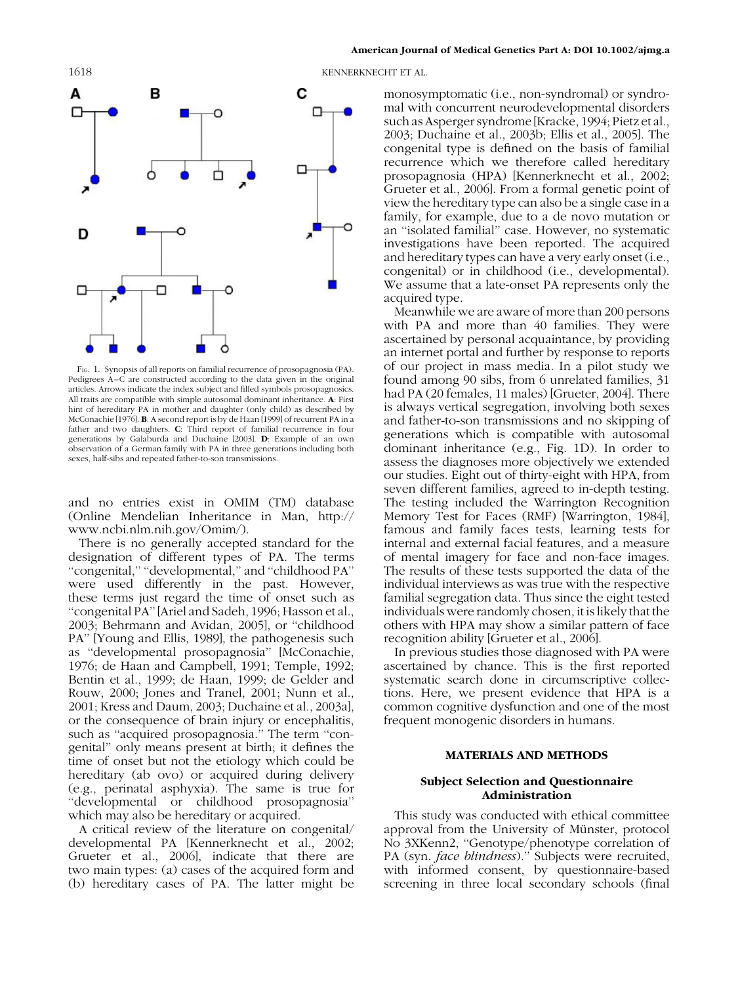

FIG. 1. Synopsis of all reports on familial recurrence of prosopagnosia (PA). Pedigrees A–C are constructed according to the data given in the original articles. Arrows indicate the index subject and filled symbols prosopagnosics. All traits are compatible with simple autosomal dominant inheritance. A: First hint of hereditary PA in mother and daughter (only child) as described by McConachie [1976]. B: A second report is by de Haan [1999] of recurrent PA in a father and two daughters. C: Third report of familial recurrence in four generations by Galaburda and Duchaine [2003]. D: Example of an own observation of a German family with PA in three generations including both sexes, half-sibs and repeated father-to-son transmissions.

and no entries exist in OMIM (TM) database (Online Mendelian Inheritance in Man, http:// www.ncbi.nlm.nih.gov/Omim/).

There is no generally accepted standard for the designation of different types of PA. The terms ''congenital,'' ''developmental,'' and ''childhood PA'' were used differently in the past. However, these terms just regard the time of onset such as ''congenital PA'' [Ariel and Sadeh, 1996; Hasson et al., 2003; Behrmann and Avidan, 2005], or ''childhood PA'' [Young and Ellis, 1989], the pathogenesis such as ''developmental prosopagnosia'' [McConachie, 1976; de Haan and Campbell, 1991; Temple, 1992; Bentin et al., 1999; de Haan, 1999; de Gelder and Rouw, 2000; Jones and Tranel, 2001; Nunn et al., 2001; Kress and Daum, 2003; Duchaine et al., 2003a], or the consequence of brain injury or encephalitis, such as "acquired prosopagnosia." The term "congenital'' only means present at birth; it defines the time of onset but not the etiology which could be hereditary (ab ovo) or acquired during delivery (e.g., perinatal asphyxia). The same is true for ''developmental or childhood prosopagnosia'' which may also be hereditary or acquired.

A critical review of the literature on congenital/ developmental PA [Kennerknecht et al., 2002; Grueter et al., 2006], indicate that there are two main types: (a) cases of the acquired form and (b) hereditary cases of PA. The latter might be

1618 KENNERKNECHT ET AL.

monosymptomatic (i.e., non-syndromal) or syndromal with concurrent neurodevelopmental disorders such as Asperger syndrome [Kracke, 1994; Pietz et al., 2003; Duchaine et al., 2003b; Ellis et al., 2005]. The congenital type is defined on the basis of familial recurrence which we therefore called hereditary prosopagnosia (HPA) [Kennerknecht et al., 2002; Grueter et al., 2006]. From a formal genetic point of view the hereditary type can also be a single case in a family, for example, due to a de novo mutation or an ''isolated familial'' case. However, no systematic investigations have been reported. The acquired and hereditary types can have a very early onset (i.e., congenital) or in childhood (i.e., developmental). We assume that a late-onset PA represents only the acquired type.

Meanwhile we are aware of more than 200 persons with PA and more than 40 families. They were ascertained by personal acquaintance, by providing an internet portal and further by response to reports of our project in mass media. In a pilot study we found among 90 sibs, from 6 unrelated families, 31 had PA (20 females, 11 males) [Grueter, 2004]. There is always vertical segregation, involving both sexes and father-to-son transmissions and no skipping of generations which is compatible with autosomal dominant inheritance (e.g., Fig. 1D). In order to assess the diagnoses more objectively we extended our studies. Eight out of thirty-eight with HPA, from seven different families, agreed to in-depth testing. The testing included the Warrington Recognition Memory Test for Faces (RMF) [Warrington, 1984], famous and family faces tests, learning tests for internal and external facial features, and a measure of mental imagery for face and non-face images. The results of these tests supported the data of the individual interviews as was true with the respective familial segregation data. Thus since the eight tested individuals were randomly chosen, it is likely that the others with HPA may show a similar pattern of face recognition ability [Grueter et al., 2006].

In previous studies those diagnosed with PA were ascertained by chance. This is the first reported systematic search done in circumscriptive collections. Here, we present evidence that HPA is a common cognitive dysfunction and one of the most frequent monogenic disorders in humans.

#### MATERIALS AND METHODS

#### Subject Selection and Questionnaire Administration

This study was conducted with ethical committee approval from the University of Münster, protocol No 3XKenn2, ''Genotype/phenotype correlation of PA (syn. *face blindness*)." Subjects were recruited, with informed consent, by questionnaire-based screening in three local secondary schools (final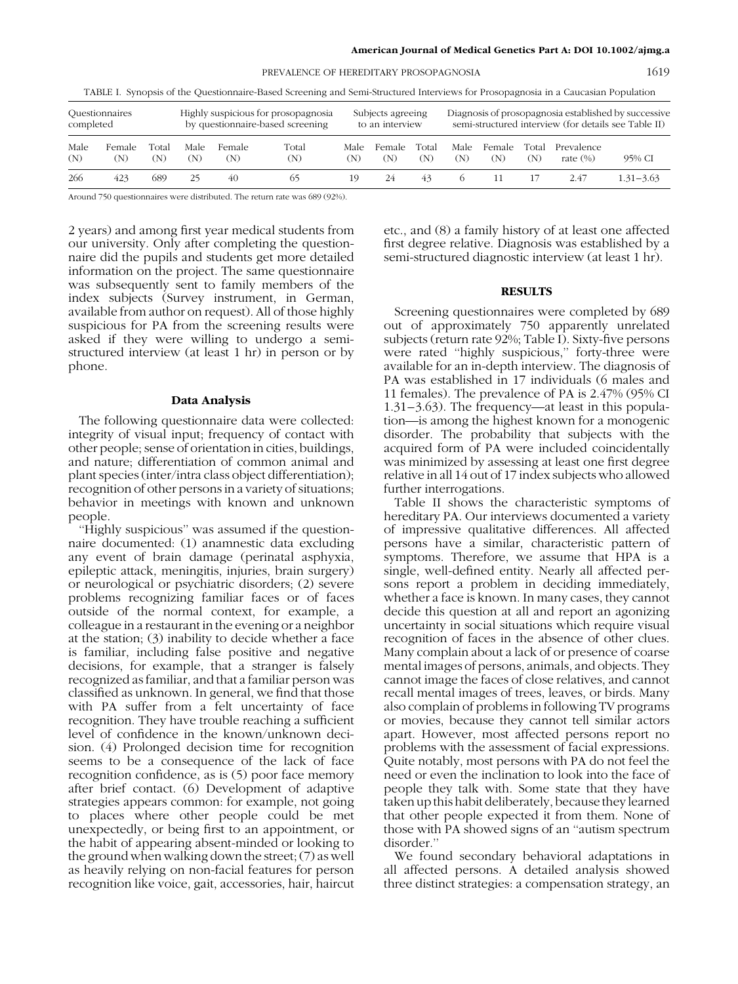PREVALENCE OF HEREDITARY PROSOPAGNOSIA 1619

TABLE I. Synopsis of the Questionnaire-Based Screening and Semi-Structured Interviews for Prosopagnosia in a Caucasian Population

| Questionnaires |        |       | Highly suspicious for prosopagnosia |        |       | Subjects agreeing |        |       | Diagnosis of prosopagnosia established by successive |        |       |             |               |
|----------------|--------|-------|-------------------------------------|--------|-------|-------------------|--------|-------|------------------------------------------------------|--------|-------|-------------|---------------|
| completed      |        |       | by questionnaire-based screening    |        |       | to an interview   |        |       | semi-structured interview (for details see Table II) |        |       |             |               |
| Male           | Female | Total | Male                                | Female | Total | Male              | Female | Total | Male                                                 | Female | Total | Prevalence  | 95% CI        |
| (N)            | (N)    | N)    | (N)                                 | (N)    | (N)   | (N)               | (N)    | (N)   | (N)                                                  | (N)    | (N)   | rate $(\%)$ |               |
| 266            | 423    | 689   | 25                                  | 40     | 65    | 19                | 24     | 43    |                                                      |        |       | 2.47        | $1.31 - 3.63$ |

Around 750 questionnaires were distributed. The return rate was 689 (92%).

2 years) and among first year medical students from our university. Only after completing the questionnaire did the pupils and students get more detailed information on the project. The same questionnaire was subsequently sent to family members of the index subjects (Survey instrument, in German, available from author on request). All of those highly suspicious for PA from the screening results were asked if they were willing to undergo a semistructured interview (at least 1 hr) in person or by phone.

#### Data Analysis

The following questionnaire data were collected: integrity of visual input; frequency of contact with other people; sense of orientation in cities, buildings, and nature; differentiation of common animal and plant species (inter/intra class object differentiation); recognition of other persons in a variety of situations; behavior in meetings with known and unknown people.

''Highly suspicious'' was assumed if the questionnaire documented: (1) anamnestic data excluding any event of brain damage (perinatal asphyxia, epileptic attack, meningitis, injuries, brain surgery) or neurological or psychiatric disorders; (2) severe problems recognizing familiar faces or of faces outside of the normal context, for example, a colleague in a restaurant in the evening or a neighbor at the station; (3) inability to decide whether a face is familiar, including false positive and negative decisions, for example, that a stranger is falsely recognized as familiar, and that a familiar person was classified as unknown. In general, we find that those with PA suffer from a felt uncertainty of face recognition. They have trouble reaching a sufficient level of confidence in the known/unknown decision. (4) Prolonged decision time for recognition seems to be a consequence of the lack of face recognition confidence, as is (5) poor face memory after brief contact. (6) Development of adaptive strategies appears common: for example, not going to places where other people could be met unexpectedly, or being first to an appointment, or the habit of appearing absent-minded or looking to the ground when walking down the street;  $(7)$  as well as heavily relying on non-facial features for person recognition like voice, gait, accessories, hair, haircut

etc., and (8) a family history of at least one affected first degree relative. Diagnosis was established by a semi-structured diagnostic interview (at least 1 hr).

#### RESULTS

Screening questionnaires were completed by 689 out of approximately 750 apparently unrelated subjects (return rate 92%; Table I). Sixty-five persons were rated ''highly suspicious,'' forty-three were available for an in-depth interview. The diagnosis of PA was established in 17 individuals (6 males and 11 females). The prevalence of PA is 2.47% (95% CI 1.31–3.63). The frequency—at least in this population—is among the highest known for a monogenic disorder. The probability that subjects with the acquired form of PA were included coincidentally was minimized by assessing at least one first degree relative in all 14 out of 17 index subjects who allowed further interrogations.

Table II shows the characteristic symptoms of hereditary PA. Our interviews documented a variety of impressive qualitative differences. All affected persons have a similar, characteristic pattern of symptoms. Therefore, we assume that HPA is a single, well-defined entity. Nearly all affected persons report a problem in deciding immediately, whether a face is known. In many cases, they cannot decide this question at all and report an agonizing uncertainty in social situations which require visual recognition of faces in the absence of other clues. Many complain about a lack of or presence of coarse mental images of persons, animals, and objects. They cannot image the faces of close relatives, and cannot recall mental images of trees, leaves, or birds. Many also complain of problems in following TV programs or movies, because they cannot tell similar actors apart. However, most affected persons report no problems with the assessment of facial expressions. Quite notably, most persons with PA do not feel the need or even the inclination to look into the face of people they talk with. Some state that they have taken up this habit deliberately, because they learned that other people expected it from them. None of those with PA showed signs of an ''autism spectrum disorder.''

We found secondary behavioral adaptations in all affected persons. A detailed analysis showed three distinct strategies: a compensation strategy, an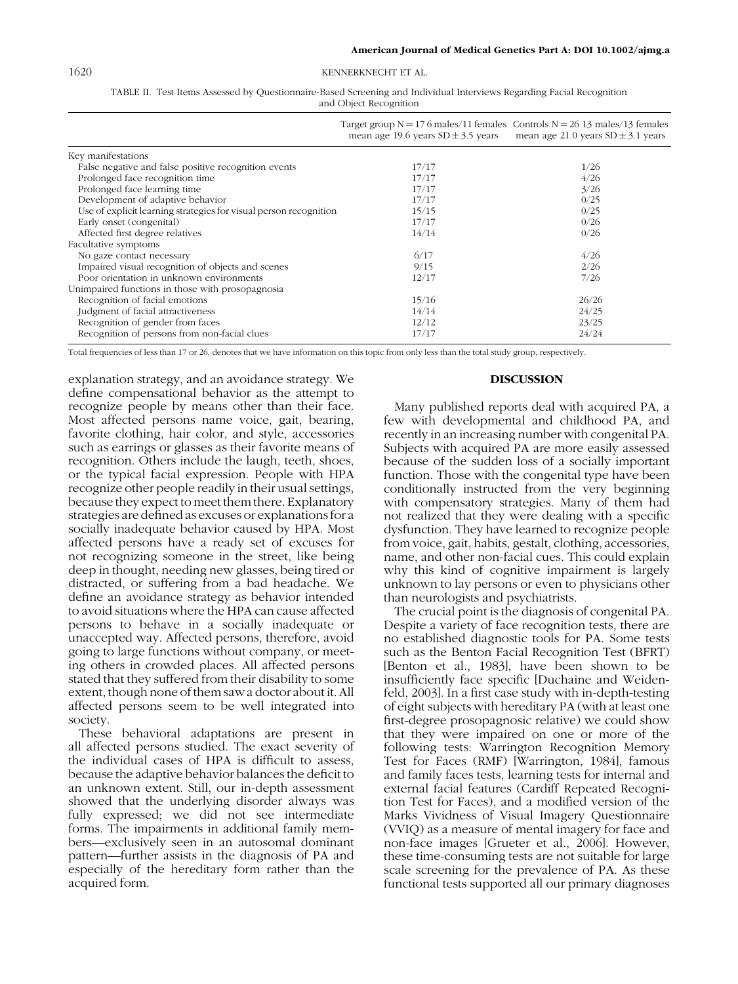#### 1620 KENNERKNECHT ET AL.

| TABLE II. Test Items Assessed by Questionnaire-Based Screening and Individual Interviews Regarding Facial Recognition |  |
|-----------------------------------------------------------------------------------------------------------------------|--|
| and Object Recognition                                                                                                |  |

|                                                                   | Target group $N = 176$ males/11 females Controls $N = 26$ 13 males/13 females<br>mean age 19.6 years $SD \pm 3.5$ years | mean age 21.0 years $SD \pm 3.1$ years |
|-------------------------------------------------------------------|-------------------------------------------------------------------------------------------------------------------------|----------------------------------------|
| Key manifestations                                                |                                                                                                                         |                                        |
| False negative and false positive recognition events              | 17/17                                                                                                                   | 1/26                                   |
| Prolonged face recognition time                                   | 17/17                                                                                                                   | 4/26                                   |
| Prolonged face learning time                                      | 17/17                                                                                                                   | 3/26                                   |
| Development of adaptive behavior                                  | 17/17                                                                                                                   | 0/25                                   |
| Use of explicit learning strategies for visual person recognition | 15/15                                                                                                                   | 0/25                                   |
| Early onset (congenital)                                          | 17/17                                                                                                                   | 0/26                                   |
| Affected first degree relatives                                   | 14/14                                                                                                                   | 0/26                                   |
| Facultative symptoms                                              |                                                                                                                         |                                        |
| No gaze contact necessary                                         | 6/17                                                                                                                    | 4/26                                   |
| Impaired visual recognition of objects and scenes                 | 9/15                                                                                                                    | 2/26                                   |
| Poor orientation in unknown environments                          | 12/17                                                                                                                   | 7/26                                   |
| Unimpaired functions in those with prosopagnosia                  |                                                                                                                         |                                        |
| Recognition of facial emotions                                    | 15/16                                                                                                                   | 26/26                                  |
| Judgment of facial attractiveness                                 | 14/14                                                                                                                   | 24/25                                  |
| Recognition of gender from faces                                  | 12/12                                                                                                                   | 23/25                                  |
| Recognition of persons from non-facial clues                      | 17/17                                                                                                                   | 24/24                                  |

Total frequencies of less than 17 or 26, denotes that we have information on this topic from only less than the total study group, respectively.

explanation strategy, and an avoidance strategy. We define compensational behavior as the attempt to recognize people by means other than their face. Most affected persons name voice, gait, bearing, favorite clothing, hair color, and style, accessories such as earrings or glasses as their favorite means of recognition. Others include the laugh, teeth, shoes, or the typical facial expression. People with HPA recognize other people readily in their usual settings, because they expect to meet them there. Explanatory strategies are defined as excuses or explanations for a socially inadequate behavior caused by HPA. Most affected persons have a ready set of excuses for not recognizing someone in the street, like being deep in thought, needing new glasses, being tired or distracted, or suffering from a bad headache. We define an avoidance strategy as behavior intended to avoid situations where the HPA can cause affected persons to behave in a socially inadequate or unaccepted way. Affected persons, therefore, avoid going to large functions without company, or meeting others in crowded places. All affected persons stated that they suffered from their disability to some extent, though none of them saw a doctor about it. All affected persons seem to be well integrated into society.

These behavioral adaptations are present in all affected persons studied. The exact severity of the individual cases of HPA is difficult to assess, because the adaptive behavior balances the deficit to an unknown extent. Still, our in-depth assessment showed that the underlying disorder always was fully expressed; we did not see intermediate forms. The impairments in additional family members—exclusively seen in an autosomal dominant pattern—further assists in the diagnosis of PA and especially of the hereditary form rather than the acquired form.

#### DISCUSSION

Many published reports deal with acquired PA, a few with developmental and childhood PA, and recently in an increasing number with congenital PA. Subjects with acquired PA are more easily assessed because of the sudden loss of a socially important function. Those with the congenital type have been conditionally instructed from the very beginning with compensatory strategies. Many of them had not realized that they were dealing with a specific dysfunction. They have learned to recognize people from voice, gait, habits, gestalt, clothing, accessories, name, and other non-facial cues. This could explain why this kind of cognitive impairment is largely unknown to lay persons or even to physicians other than neurologists and psychiatrists.

The crucial point is the diagnosis of congenital PA. Despite a variety of face recognition tests, there are no established diagnostic tools for PA. Some tests such as the Benton Facial Recognition Test (BFRT) [Benton et al., 1983], have been shown to be insufficiently face specific [Duchaine and Weidenfeld, 2003]. In a first case study with in-depth-testing of eight subjects with hereditary PA (with at least one first-degree prosopagnosic relative) we could show that they were impaired on one or more of the following tests: Warrington Recognition Memory Test for Faces (RMF) [Warrington, 1984], famous and family faces tests, learning tests for internal and external facial features (Cardiff Repeated Recognition Test for Faces), and a modified version of the Marks Vividness of Visual Imagery Questionnaire (VVIQ) as a measure of mental imagery for face and non-face images [Grueter et al., 2006]. However, these time-consuming tests are not suitable for large scale screening for the prevalence of PA. As these functional tests supported all our primary diagnoses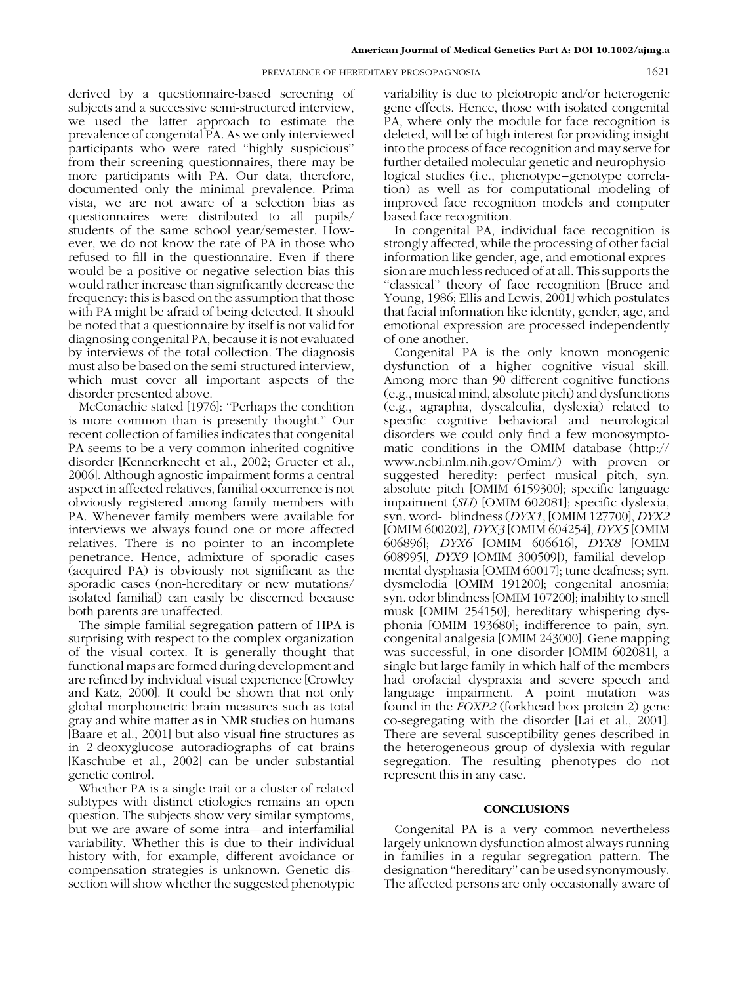#### PREVALENCE OF HEREDITARY PROSOPAGNOSIA 1621

derived by a questionnaire-based screening of subjects and a successive semi-structured interview, we used the latter approach to estimate the prevalence of congenital PA. As we only interviewed participants who were rated ''highly suspicious'' from their screening questionnaires, there may be more participants with PA. Our data, therefore, documented only the minimal prevalence. Prima vista, we are not aware of a selection bias as questionnaires were distributed to all pupils/ students of the same school year/semester. However, we do not know the rate of PA in those who refused to fill in the questionnaire. Even if there would be a positive or negative selection bias this would rather increase than significantly decrease the frequency: this is based on the assumption that those with PA might be afraid of being detected. It should be noted that a questionnaire by itself is not valid for diagnosing congenital PA, because it is not evaluated by interviews of the total collection. The diagnosis must also be based on the semi-structured interview, which must cover all important aspects of the disorder presented above.

McConachie stated [1976]: ''Perhaps the condition is more common than is presently thought.'' Our recent collection of families indicates that congenital PA seems to be a very common inherited cognitive disorder [Kennerknecht et al., 2002; Grueter et al., 2006]. Although agnostic impairment forms a central aspect in affected relatives, familial occurrence is not obviously registered among family members with PA. Whenever family members were available for interviews we always found one or more affected relatives. There is no pointer to an incomplete penetrance. Hence, admixture of sporadic cases (acquired PA) is obviously not significant as the sporadic cases (non-hereditary or new mutations/ isolated familial) can easily be discerned because both parents are unaffected.

The simple familial segregation pattern of HPA is surprising with respect to the complex organization of the visual cortex. It is generally thought that functional maps are formed during development and are refined by individual visual experience [Crowley and Katz, 2000]. It could be shown that not only global morphometric brain measures such as total gray and white matter as in NMR studies on humans [Baare et al., 2001] but also visual fine structures as in 2-deoxyglucose autoradiographs of cat brains [Kaschube et al., 2002] can be under substantial genetic control.

Whether PA is a single trait or a cluster of related subtypes with distinct etiologies remains an open question. The subjects show very similar symptoms, but we are aware of some intra—and interfamilial variability. Whether this is due to their individual history with, for example, different avoidance or compensation strategies is unknown. Genetic dissection will show whether the suggested phenotypic

variability is due to pleiotropic and/or heterogenic gene effects. Hence, those with isolated congenital PA, where only the module for face recognition is deleted, will be of high interest for providing insight into the process of face recognition and may serve for further detailed molecular genetic and neurophysiological studies (i.e., phenotype–genotype correlation) as well as for computational modeling of improved face recognition models and computer based face recognition.

In congenital PA, individual face recognition is strongly affected, while the processing of other facial information like gender, age, and emotional expression are much less reduced of at all. This supports the "classical" theory of face recognition [Bruce and Young, 1986; Ellis and Lewis, 2001] which postulates that facial information like identity, gender, age, and emotional expression are processed independently of one another.

Congenital PA is the only known monogenic dysfunction of a higher cognitive visual skill. Among more than 90 different cognitive functions (e.g., musical mind, absolute pitch) and dysfunctions (e.g., agraphia, dyscalculia, dyslexia) related to specific cognitive behavioral and neurological disorders we could only find a few monosymptomatic conditions in the OMIM database (http:// www.ncbi.nlm.nih.gov/Omim/) with proven or suggested heredity: perfect musical pitch, syn. absolute pitch [OMIM 6159300]; specific language impairment (SLI) [OMIM 602081]; specific dyslexia, syn. word- blindness (DYX1, [OMIM 127700], DYX2 [OMIM 600202], DYX3 [OMIM 604254], DYX5 [OMIM 606896]; DYX6 [OMIM 606616], DYX8 [OMIM 608995], DYX9 [OMIM 300509]), familial developmental dysphasia [OMIM 60017]; tune deafness; syn. dysmelodia [OMIM 191200]; congenital anosmia; syn. odor blindness [OMIM 107200]; inability to smell musk [OMIM 254150]; hereditary whispering dysphonia [OMIM 193680]; indifference to pain, syn. congenital analgesia [OMIM 243000]. Gene mapping was successful, in one disorder [OMIM 602081], a single but large family in which half of the members had orofacial dyspraxia and severe speech and language impairment. A point mutation was found in the FOXP2 (forkhead box protein 2) gene co-segregating with the disorder [Lai et al., 2001]. There are several susceptibility genes described in the heterogeneous group of dyslexia with regular segregation. The resulting phenotypes do not represent this in any case.

#### **CONCLUSIONS**

Congenital PA is a very common nevertheless largely unknown dysfunction almost always running in families in a regular segregation pattern. The designation ''hereditary'' can be used synonymously. The affected persons are only occasionally aware of